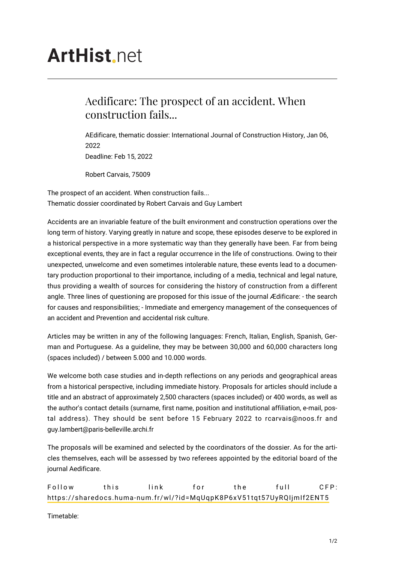## **ArtHist.net**

## Aedificare: The prospect of an accident. When construction fails...

AEdificare, thematic dossier: International Journal of Construction History, Jan 06, 2022 Deadline: Feb 15, 2022

Robert Carvais, 75009

The prospect of an accident. When construction fails... Thematic dossier coordinated by Robert Carvais and Guy Lambert

Accidents are an invariable feature of the built environment and construction operations over the long term of history. Varying greatly in nature and scope, these episodes deserve to be explored in a historical perspective in a more systematic way than they generally have been. Far from being exceptional events, they are in fact a regular occurrence in the life of constructions. Owing to their unexpected, unwelcome and even sometimes intolerable nature, these events lead to a documentary production proportional to their importance, including of a media, technical and legal nature, thus providing a wealth of sources for considering the history of construction from a different angle. Three lines of questioning are proposed for this issue of the journal Ædificare: - the search for causes and responsibilities; - Immediate and emergency management of the consequences of an accident and Prevention and accidental risk culture.

Articles may be written in any of the following languages: French, Italian, English, Spanish, German and Portuguese. As a guideline, they may be between 30,000 and 60,000 characters long (spaces included) / between 5.000 and 10.000 words.

We welcome both case studies and in-depth reflections on any periods and geographical areas from a historical perspective, including immediate history. Proposals for articles should include a title and an abstract of approximately 2,500 characters (spaces included) or 400 words, as well as the author's contact details (surname, first name, position and institutional affiliation, e-mail, postal address). They should be sent before 15 February 2022 to rcarvais@noos.fr and guy.lambert@paris-belleville.archi.fr

The proposals will be examined and selected by the coordinators of the dossier. As for the articles themselves, each will be assessed by two referees appointed by the editorial board of the journal Aedificare.

Follow this link for the full CFP: <https://sharedocs.huma-num.fr/wl/?id=MqUqpK8P6xV51tqt57UyRQIjmIf2ENT5>

Timetable: